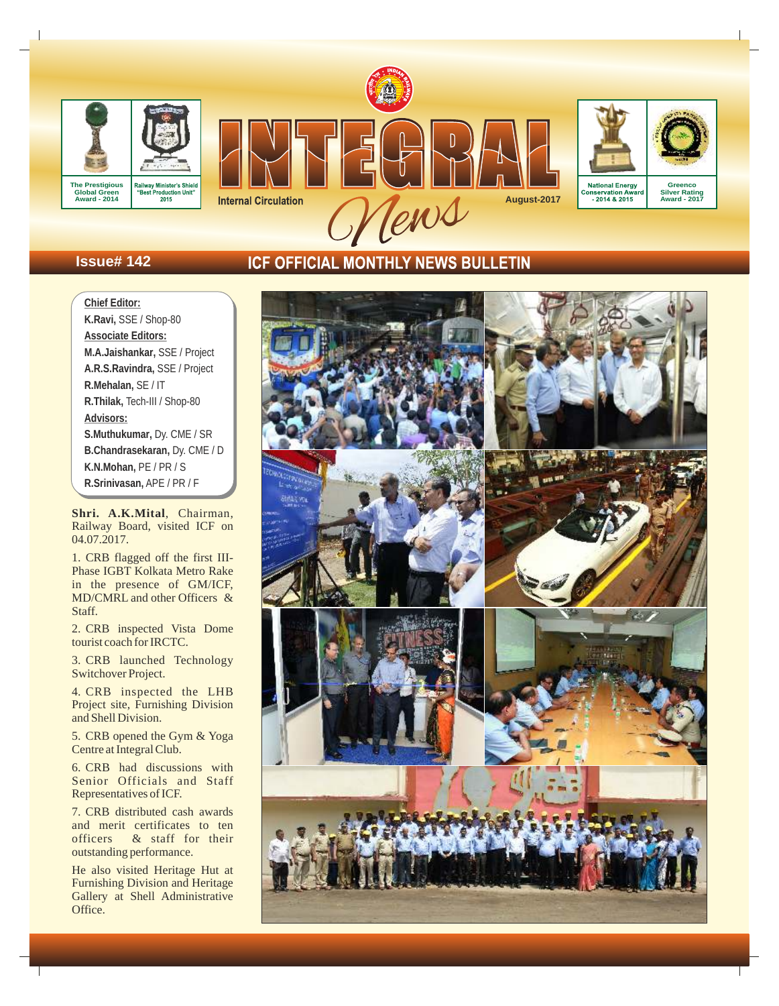

# **Issue# 142**

# ICF OFFICIAL MONTHLY NEWS BULLETIN

**Chief Editor: K.Ravi,** SSE / Shop-80 **Associate Editors: M.A.Jaishankar,** SSE / Project **A.R.S.Ravindra,** SSE / Project **R.Mehalan,** SE / IT **R.Thilak,**  Tech-III / Shop-80 **Advisors: S.Muthukumar,** Dy. CME / SR **B.Chandrasekaran,** Dy. CME / D **K.N.Mohan,** PE / PR / S **R.Srinivasan,** APE / PR / F

Shri. A.K.Mital, Chairman, Railway Board, visited ICF on 04.07.2017.

1. CRB flagged off the first IIIin the presence of GM/ICF, MD/CMRL and other Officers & Staff.

2. CRB inspected Vista Dome tourist coach for IRCTC.

3. CRB launched Technology Switchover Project.

4. CRB inspected the LHB Project site, Furnishing Division and Shell Division.

5. CRB opened the Gym & Yoga Centre at Integral Club.

6. CRB had discussions with Senior Officials and Staff Representatives of ICF .

7. CRB distributed cash awards<br>and merit certificates to ten<br>officers & staff for their  $\&$  staff for their outstanding performance.

He also visited Heritage Hut at Furnishing Division and Heritage Gallery at Shell Administrative Office.

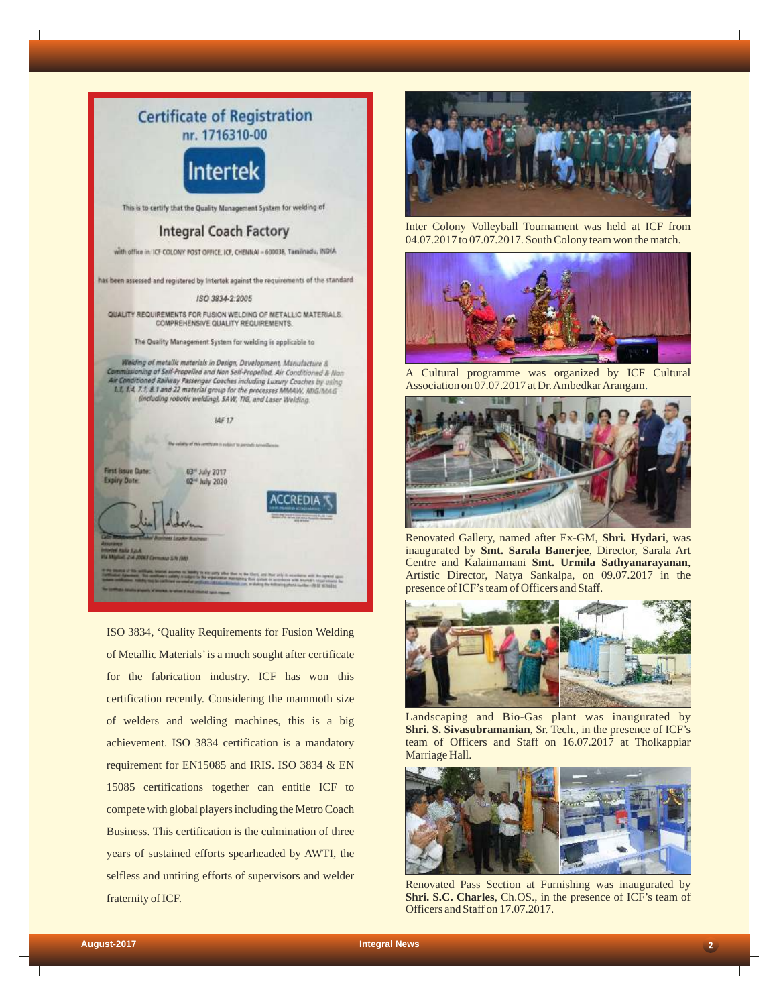

ISO 3834, 'Quality Requirements for Fusion Welding of Metallic Materials'is a much sought after certificate for the fabrication industry. ICF has won this certification recently. Considering the mammoth size of welders and welding machines, this is a big achievement. ISO 3834 certification is a mandatory requirement for EN15085 and IRIS. ISO 3834 & EN 15085 certifications together can entitle ICF to compete with global players including the Metro Coach Business. This certification is the culmination of three years of sustained efforts spearheaded by AWTI, the selfless and untiring efforts of supervisors and welder fraternity of ICF.



Inter Colony Volleyball Tournament was held at ICF from 04.07.2017 to 07.07.2017. South Colony team won the match.



A Cultural programme was organized by ICF Cultural Association on 07.07.2017 at Dr. Ambedkar Arangam.



Renovated Gallery, named after Ex-GM, **Shri. Hydari**, was inaugurated by **Smt. Sarala Banerjee**, Director, Sarala Art Centre and Kalaimamani **Smt. Urmila Sathyanarayanan**, Artistic Director, Natya Sankalpa, on 09.07.2017 in the presence of ICF's team of Officers and Staff.



Landscaping and Bio-Gas plant was inaugurated by **Shri. S. Sivasubramanian**, Sr. Tech., in the presence of ICF's team of Officers and Staff on 16.07.2017 at Tholkappiar Marriage Hall.



Renovated Pass Section at Furnishing was inaugurated by **Shri. S.C. Charles**, Ch.OS., in the presence of ICF's team of Officers and Staff on 17.07.2017.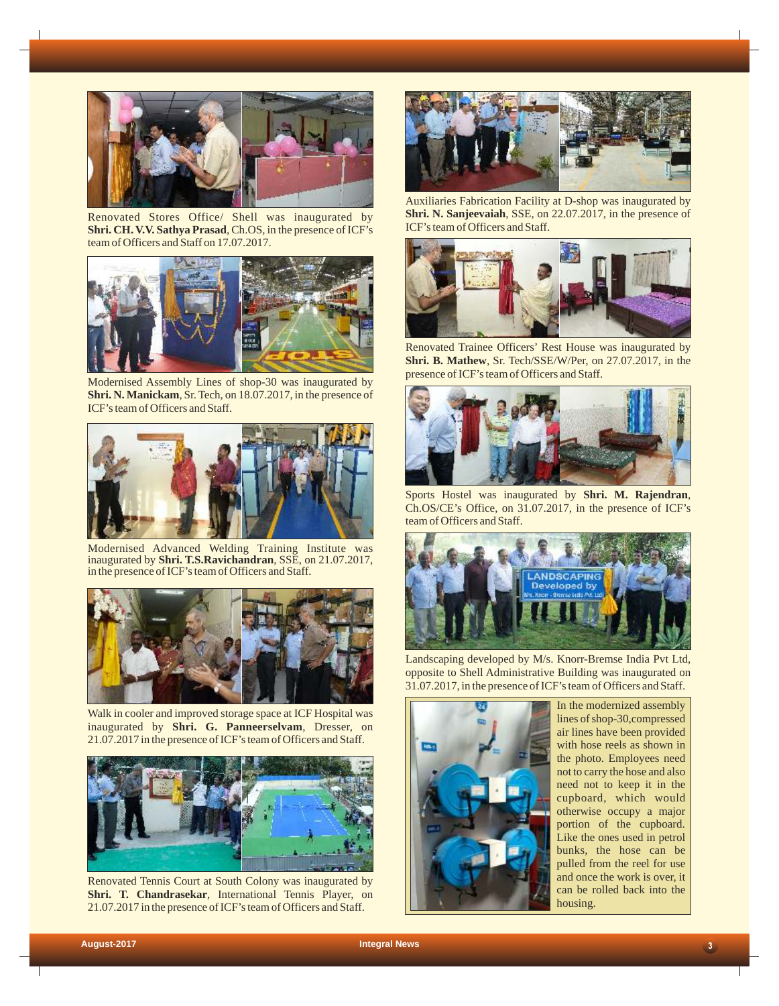

Renovated Stores Office/ Shell was inaugurated by **Shri. CH. V.V. Sathya Prasad**, Ch.OS, in the presence of ICF's team of Officers and Staff on 17.07.2017.



Modernised Assembly Lines of shop-30 was inaugurated by **Shri. N. Manickam**, Sr. Tech, on 18.07.2017, in the presence of ICF's team of Officers and Staff.



Modernised Advanced Welding Training Institute was inaugurated by **Shri. T.S.Ravichandran**, SSE, on 21.07.2017, in the presence of ICF's team of Officers and Staff.



Walk in cooler and improved storage space at ICF Hospital was inaugurated by **Shri. G. Panneerselvam**, Dresser, on 21.07.2017 in the presence of ICF's team of Officers and Staff.



Renovated Tennis Court at South Colony was inaugurated by **Shri. T. Chandrasekar**, International Tennis Player, on 21.07.2017 in the presence of ICF's team of Officers and Staff.



Auxiliaries Fabrication Facility at D-shop was inaugurated by **Shri. N. Sanjeevaiah**, SSE, on 22.07.2017, in the presence of ICF's team of Officers and Staff.



Renovated Trainee Officers' Rest House was inaugurated by **Shri. B. Mathew**, Sr. Tech/SSE/W/Per, on 27.07.2017, in the presence of ICF's team of Officers and Staff.



Sports Hostel was inaugurated by **Shri. M. Rajendran**, Ch.OS/CE's Office, on 31.07.2017, in the presence of ICF's team of Officers and Staff.



Landscaping developed by M/s. Knorr-Bremse India Pvt Ltd, opposite to Shell Administrative Building was inaugurated on 31.07.2017, in the presence of ICF's team of Officers and Staff.



In the modernized assembly lines of shop-30,compressed air lines have been provided with hose reels as shown in the photo. Employees need not to carry the hose and also need not to keep it in the cupboard, which would otherwise occupy a major portion of the cupboard. Like the ones used in petrol bunks, the hose can be pulled from the reel for use and once the work is over, it can be rolled back into the housing.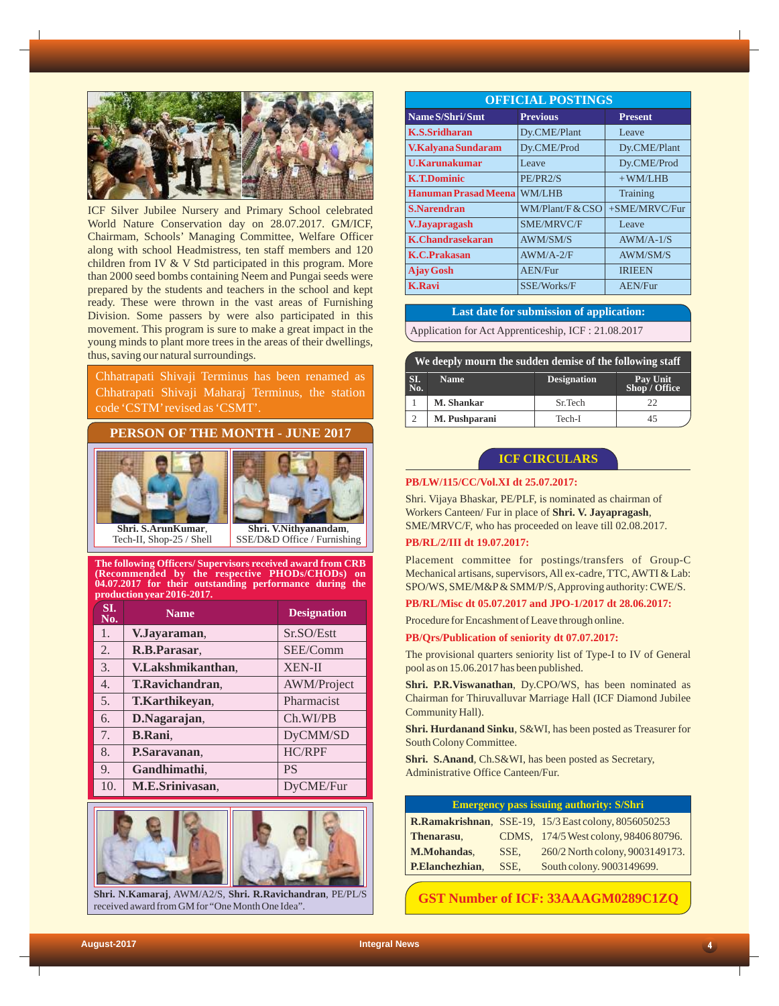

ICF Silver Jubilee Nursery and Primary School celebrated World Nature Conservation day on 28.07.2017. GM/ICF, Chairmam, Schools' Managing Committee, Welfare Officer along with school Headmistress, ten staff members and 120 children from IV & V Std participated in this program. More than 2000 seed bombs containing Neem and Pungai seeds were prepared by the students and teachers in the school and kept ready. These were thrown in the vast areas of Furnishing Division. Some passers by were also participated in this movement. This program is sure to make a great impact in the young minds to plant more trees in the areas of their dwellings, thus, saving our natural surroundings.

Chhatrapati Shivaji Terminus has been renamed as Chhatrapati Shivaji Maharaj Terminus, the station code 'CSTM'revised as 'CSMT'.

# **PERSON OF THE MONTH - JUNE 2017**





Tech-II, Shop-25 / Shell

SSE/D&D Office / Furnishing

**The following Officers/ Supervisors received award from CRB (Recommended by the respective PHODs/CHODs) on 04.07.2017 for their outstanding performance during the production year 2016-2017.**

| SI.<br>No.       | <b>Name</b>       | <b>Designation</b> |
|------------------|-------------------|--------------------|
| 1.               | V.Jayaraman,      | Sr.SO/Estt         |
| 2.               | R.B.Parasar,      | SEE/Comm           |
| 3.               | V.Lakshmikanthan, | <b>XEN-II</b>      |
| $\overline{4}$ . | T.Ravichandran,   | <b>AWM/Project</b> |
| 5.               | T.Karthikeyan,    | Pharmacist         |
| 6.               | D.Nagarajan,      | Ch.WI/PB           |
| 7.               | <b>B.Rani</b> ,   | DyCMM/SD           |
| 8.               | P.Saravanan,      | HC/RPF             |
| 9.               | Gandhimathi,      | <b>PS</b>          |
| 10.              | M.E.Srinivasan,   | DyCME/Fur          |



**Shri. N.Kamaraj**, AWM/A2/S, **Shri. R.Ravichandran**, PE/PL/S received award from GM for "One Month One Idea".

| <b>OFFICIAL POSTINGS</b>    |                                   |                 |  |  |  |  |
|-----------------------------|-----------------------------------|-----------------|--|--|--|--|
| Name S/Shri/Smt             | <b>Previous</b><br><b>Present</b> |                 |  |  |  |  |
| <b>K.S.Sridharan</b>        | Dy.CME/Plant                      | Leave           |  |  |  |  |
| V.Kalyana Sundaram          | Dy.CME/Prod                       | Dy.CME/Plant    |  |  |  |  |
| <b>U.Karunakumar</b>        | Leave                             | Dy.CME/Prod     |  |  |  |  |
| <b>K.T.Dominic</b>          | PE/PR2/S                          | $+$ WM/LHB      |  |  |  |  |
| <b>Hanuman Prasad Meena</b> | <b>WM/LHB</b>                     | Training        |  |  |  |  |
| <b>S.Narendran</b>          | WM/Plant/FACSO                    | +SME/MRVC/Fur   |  |  |  |  |
| <b>V.Jayapragash</b>        | <b>SME/MRVC/F</b>                 | Leave           |  |  |  |  |
| <b>K.Chandrasekaran</b>     | <b>AWM/SM/S</b>                   | $AWM/A-1/S$     |  |  |  |  |
| <b>K.C.Prakasan</b>         | $AWM/A-2/F$                       | <b>AWM/SM/S</b> |  |  |  |  |
| <b>Ajay Gosh</b>            | <b>AEN/Fur</b>                    | <b>IRIEEN</b>   |  |  |  |  |
| <b>K.Ravi</b>               | SSE/Works/F                       | <b>AEN/Fur</b>  |  |  |  |  |

### **Last date for submission of application:**

Application for Act Apprenticeship, ICF : 21.08.2017

| We deeply mourn the sudden demise of the following staff |                   |                    |                           |  |  |
|----------------------------------------------------------|-------------------|--------------------|---------------------------|--|--|
| SI.<br>No.                                               | <b>Name</b>       | <b>Designation</b> | Pay Unit<br>Shop / Office |  |  |
|                                                          | <b>M. Shankar</b> | Sr.Tech            | 22                        |  |  |
|                                                          | M. Pushparani     | Tech-I             | 45                        |  |  |

# **ICF CIRCULARS**

#### **PB/LW/115/CC/Vol.XI dt 25.07.2017:**

Shri. Vijaya Bhaskar, PE/PLF, is nominated as chairman of Workers Canteen/ Fur in place of **Shri. V. Jayapragash**, SME/MRVC/F, who has proceeded on leave till 02.08.2017.

#### **PB/RL/2/III dt 19.07.2017:**

Placement committee for postings/transfers of Group-C Mechanical artisans, supervisors, All ex-cadre, TTC, AWTI & Lab: SPO/WS, SME/M&P& SMM/P/S, Approving authority: CWE/S.

**PB/RL/Misc dt 05.07.2017 and JPO-1/2017 dt 28.06.2017:**

Procedure for Encashment of Leave through online.

#### **PB/Qrs/Publication of seniority dt 07.07.2017:**

The provisional quarters seniority list of Type-I to IV of General pool as on 15.06.2017 has been published.

**Shri. P.R.Viswanathan**, Dy.CPO/WS, has been nominated as Chairman for Thiruvalluvar Marriage Hall (ICF Diamond Jubilee Community Hall).

**Shri. Hurdanand Sinku**, S&WI, has been posted as Treasurer for South Colony Committee.

**Shri. S.Anand**, Ch.S&WI, has been posted as Secretary, Administrative Office Canteen/Fur.

| <b>Emergency pass issuing authority: S/Shri</b> |      |                                                             |  |  |
|-------------------------------------------------|------|-------------------------------------------------------------|--|--|
|                                                 |      | <b>R.Ramakrishnan, SSE-19, 15/3 East colony, 8056050253</b> |  |  |
| Thenarasu,                                      |      | CDMS, 174/5 West colony, 98406 80796.                       |  |  |
| <b>M.Mohandas.</b>                              | SSE. | 260/2 North colony, 9003149173.                             |  |  |
| P.Elanchezhian,                                 | SSE. | South colony. 9003149699.                                   |  |  |

# **GST Number of ICF: 33AAAGM0289C1ZQ**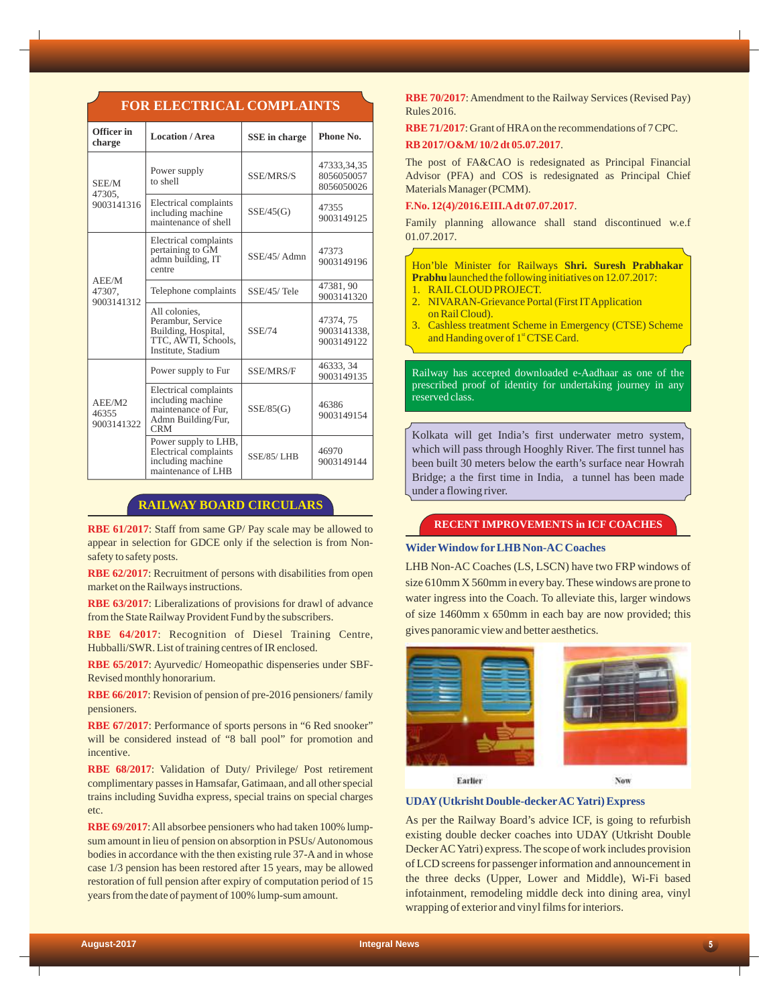| Officer in<br>charge          | <b>Location / Area</b>                                                                                 | <b>SSE</b> in charge | Phone No.                               |
|-------------------------------|--------------------------------------------------------------------------------------------------------|----------------------|-----------------------------------------|
| SEE/M<br>47305.               | Power supply<br>to shell                                                                               | SSE/MRS/S            | 47333,34,35<br>8056050057<br>8056050026 |
| 9003141316                    | Electrical complaints<br>including machine<br>maintenance of shell                                     | SSE/45(G)            | 47355<br>9003149125                     |
|                               | Electrical complaints<br>pertaining to GM<br>admn building, IT<br>centre                               | SSE/45/Admn          | 47373<br>9003149196                     |
| AEE/M<br>47307.<br>9003141312 | Telephone complaints                                                                                   | SSE/45/Tele          | 47381, 90<br>9003141320                 |
|                               | All colonies,<br>Perambur, Service<br>Building, Hospital,<br>TTC, AWTI, Schools,<br>Institute, Stadium | <b>SSE/74</b>        | 47374, 75<br>9003141338,<br>9003149122  |
|                               | Power supply to Fur                                                                                    | SSE/MRS/F            | 46333, 34<br>9003149135                 |
| AEE/M2<br>46355<br>9003141322 | Electrical complaints<br>including machine<br>maintenance of Fur,<br>Admn Building/Fur,<br><b>CRM</b>  | SSE/85(G)            | 46386<br>9003149154                     |
|                               | Power supply to LHB,<br>Electrical complaints<br>including machine<br>maintenance of LHB               | <b>SSE/85/ LHB</b>   | 46970<br>9003149144                     |

**FOR ELECTRICAL COMPLAINTS**

# **RAILWAY BOARD CIRCULARS**

**RBE 61/2017** : Staff from same GP/ Pay scale may be allowed to appear in selection for GDCE only if the selection is from Nonsafety to safety posts.

**RBE 62/2017** : Recruitment of persons with disabilities from open market on the Railways instructions.

**RBE 63/2017** : Liberalizations of provisions for drawl of advance from the State Railway Provident Fund by the subscribers.

**RBE 64/2017** : Recognition of Diesel Training Centre, Hubballi/SWR. List of training centres of IR enclosed.

**RBE 65/2017** : Ayurvedic/ Homeopathic dispenseries under SBF-Revised monthly honorarium.

**RBE 66/2017** : Revision of pension of pre-2016 pensioners/ family pensioners.

RBE 67/2017: Performance of sports persons in "6 Red snooker" will be considered instead of "8 ball pool" for promotion and incentive.

**RBE 68/2017** : Validation of Duty/ Privilege/ Post retirement complimentary passes in Hamsafar, Gatimaan, and all other special trains including Suvidha express, special trains on special charges etc.

**RBE 69/2017** : All absorbee pensioners who had taken 100% lumpsum amount in lieu of pension on absorption in PSUs/ Autonomous bodies in accordance with the then existing rule 37-A and in whose case 1/3 pension has been restored after 15 years, may be allowed restoration of full pension after expiry of computation period of 15 years from the date of payment of 100% lump-sum amount.

**RBE 70/2017** : Amendment to the Railway Services (Revised Pay) Rules 2016.

**RBE 71/2017** : Grant of HRAon the recommendations of 7 CPC. **RB 2017/O&M/ 10/2 dt 05.07.2017** .

The post of FA&CAO is redesignated as Principal Financial Advisor (PFA) and COS is redesignated as Principal Chief Materials Manager (PCMM).

#### **F.No. 12(4)/2016.EIII.Adt 07.07.2017** .

Family planning allowance shall stand discontinued w.e.f 01.07.2017.

Hon'ble Minister for Railways **Shri. Suresh Prabhakar Prabhu** launched the following initiatives on 12.07.2017: 1. RAIL CLOUD PROJECT.

- 2. NIVARAN-Grievance Portal (First IT Application on Rail Cloud).
- Cashless treatment Scheme in Emergency (CTSE) Scheme 3. and Handing over of 1<sup>st</sup> CTSE Card.

Railway has accepted downloaded e-Aadhaar as one of the prescribed proof of identity for undertaking journey in any reserved class.

Kolkata will get India's first underwater metro system, which will pass through Hooghly River. The first tunnel has been built 30 meters below the earth's surface near Howrah Bridge; a the first time in India, a tunnel has been made under a flowing river.

## **RECENT IMPROVEMENTS in ICF COACHES**

## **WiderWindow forLHB Non-AC Coaches**

LHB Non-AC Coaches (LS, LSCN) have two FRP windows of size 610mm X 560mm in every bay. These windows are prone to water ingress into the Coach. To alleviate this, larger windows of size 1460mm x 650mm in each bay are now provided; this gives panoramic view and better aesthetics.



Earlier

**UDAY(Utkrisht Double-deckerAC Yatri) Express**

As per the Railway Board's advice ICF, is going to refurbish existing double decker coaches into UDAY (Utkrisht Double Decker AC Yatri) express. The scope of work includes provision of LCD screens for passenger information and announcement in the three decks (Upper, Lower and Middle), Wi-Fi based infotainment, remodeling middle deck into dining area, vinyl wrapping of exterior and vinyl films for interiors.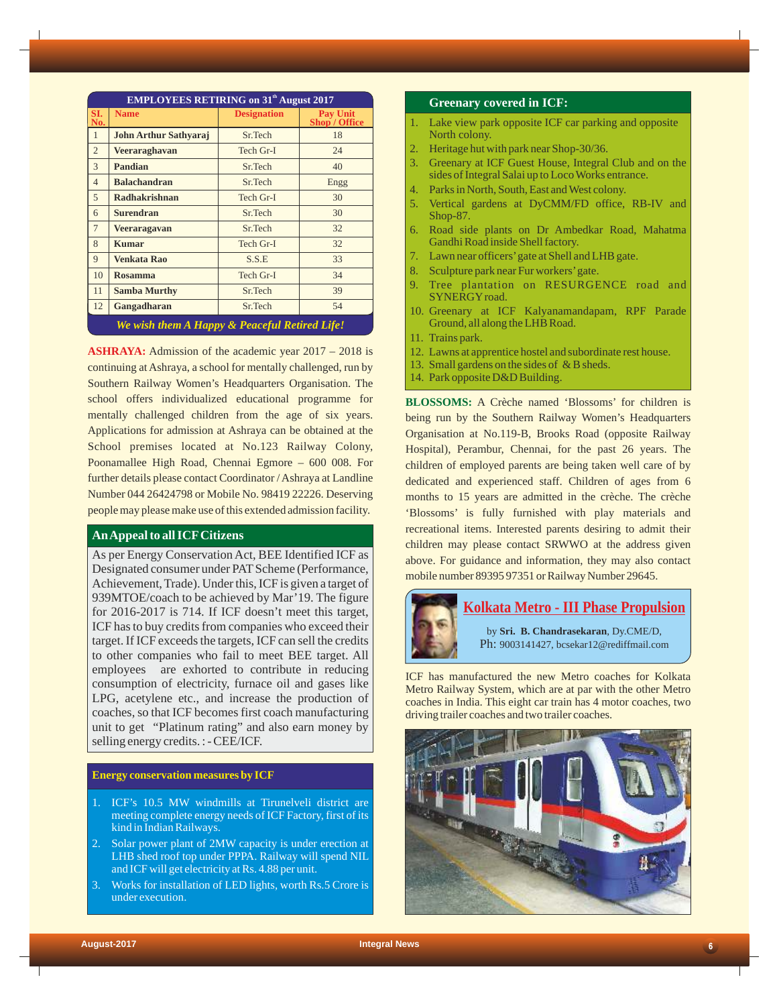| <b>EMPLOYEES RETIRING on 31<sup>th</sup> August 2017</b> |                              |                    |                                         |  |
|----------------------------------------------------------|------------------------------|--------------------|-----------------------------------------|--|
| SI.<br>No.                                               | <b>Name</b>                  | <b>Designation</b> | <b>Pay Unit</b><br><b>Shop</b> / Office |  |
| $\mathbf{1}$                                             | <b>John Arthur Sathyaraj</b> | Sr.Tech            | 18                                      |  |
| $\overline{2}$                                           | Veeraraghavan                | Tech Gr-I          | 24                                      |  |
| $\overline{\mathcal{E}}$                                 | Pandian                      | Sr.Tech            | 40                                      |  |
| $\overline{4}$                                           | <b>Balachandran</b>          | Sr.Tech            | Engg                                    |  |
| $\overline{5}$                                           | <b>Radhakrishnan</b>         | Tech Gr-I          | 30                                      |  |
| 6                                                        | <b>Surendran</b>             | Sr.Tech            | 30                                      |  |
| $\overline{7}$                                           | <b>Veeraragavan</b>          | Sr.Tech            | 32                                      |  |
| 8                                                        | <b>Kumar</b>                 | Tech Gr-I          | 32                                      |  |
| 9                                                        | <b>Venkata Rao</b>           | S.S.E              | 33                                      |  |
| 10                                                       | <b>Rosamma</b>               | Tech Gr-I          | 34                                      |  |
| 11                                                       | <b>Samba Murthy</b>          | Sr.Tech            | 39                                      |  |
| 12                                                       | Gangadharan                  | Sr.Tech            | 54                                      |  |
| We wish them A Happy & Peaceful Retired Life!            |                              |                    |                                         |  |

**ASHRAYA:** Admission of the academic year 2017 – 2018 is continuing at Ashraya, a school for mentally challenged, run by Southern Railway Women's Headquarters Organisation. The school offers individualized educational programme for mentally challenged children from the age of six years. Applications for admission at Ashraya can be obtained at the School premises located at No.123 Railway Colony, Poonamallee High Road, Chennai Egmore – 600 008. For further details please contact Coordinator / Ashraya at Landline Number 044 26424798 or Mobile No. 98419 22226. Deserving people may please make use of this extended admission facility.

# **An Appeal to all ICFCitizens**

As per Energy Conservation Act, BEE Identified ICF as Designated consumer under PAT Scheme (Performance, Achievement, Trade). Under this, ICF is given a target of 939MTOE/coach to be achieved by Mar'19. The figure for 2016-2017 is 714. If ICF doesn't meet this target, ICF has to buy credits from companies who exceed their target. If ICF exceeds the targets, ICF can sell the credits to other companies who fail to meet BEE target. All employees are exhorted to contribute in reducing consumption of electricity, furnace oil and gases like LPG, acetylene etc., and increase the production of coaches, so that ICF becomes first coach manufacturing unit to get "Platinum rating" and also earn money by selling energy credits. : - CEE/ICF.

## **Energy conservation measures by ICF**

- 1. ICF's 10.5 MW windmills at Tirunelveli district are meeting complete energy needs of ICF Factory, first of its kind in Indian Railways.
- 2. Solar power plant of 2MW capacity is under erection at LHB shed roof top under PPPA. Railway will spend NIL and ICF will get electricity at Rs. 4.88 per unit.
- 3. Works for installation of LED lights, worth Rs.5 Crore is under execution.

#### **Greenary covered in ICF:**

- 1. Lake view park opposite ICF car parking and opposite North colony.
- 2. Heritage hut with park near Shop-30/36.
- 3. Greenary at ICF Guest House, Integral Club and on the sides of Integral Salai up to Loco Works entrance.
- 4. Parks in North, South, East and West colony.
- 5. Vertical gardens at DyCMM/FD office, RB-IV and Shop-87.
- 6. Road side plants on Dr Ambedkar Road, Mahatma Gandhi Road inside Shell factory.
- Lawn near officers' gate at Shell and LHB gate.
- 8. Sculpture park near Fur workers'gate.
- 9. Tree plantation on RESURGENCE road and SYNERGYroad.
- 10. Greenary at ICF Kalyanamandapam, RPF Parade Ground, all along the LHB Road.
- 11. Trains park.
- 12. Lawns at apprentice hostel and subordinate rest house.
- 13. Small gardens on the sides of & B sheds.
- 14. Park opposite D&D Building.

**BLOSSOMS:** A Crèche named 'Blossoms' for children is being run by the Southern Railway Women's Headquarters Organisation at No.119-B, Brooks Road (opposite Railway Hospital), Perambur, Chennai, for the past 26 years. The children of employed parents are being taken well care of by dedicated and experienced staff. Children of ages from 6 months to 15 years are admitted in the crèche. The crèche 'Blossoms' is fully furnished with play materials and recreational items. Interested parents desiring to admit their children may please contact SRWWO at the address given above. For guidance and information, they may also contact mobile number 89395 97351 or Railway Number 29645.



ICF has manufactured the new Metro coaches for Kolkata Metro Railway System, which are at par with the other Metro coaches in India. This eight car train has 4 motor coaches, two driving trailer coaches and two trailer coaches.

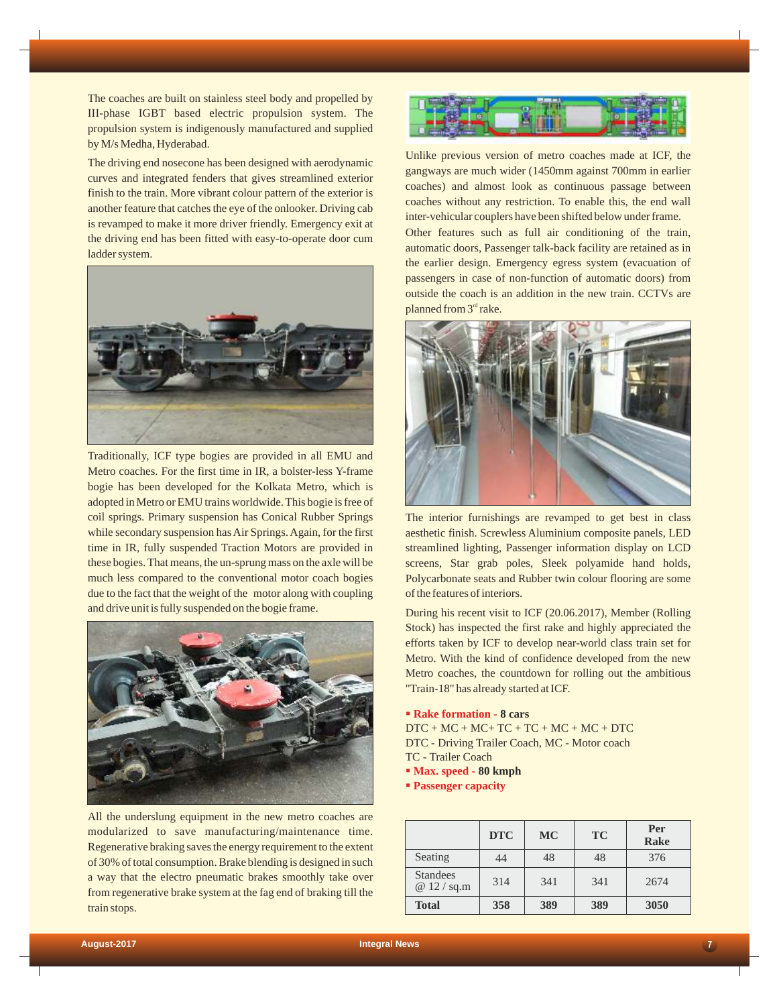The coaches are built on stainless steel body and propelled by III-phase IGBT based electric propulsion system. The propulsion system is indigenously manufactured and supplied by M/s Medha, Hyderabad.

The driving end nosecone has been designed with aerodynamic curves and integrated fenders that gives streamlined exterior finish to the train. More vibrant colour pattern of the exterior is another feature that catches the eye of the onlooker. Driving cab is revamped to make it more driver friendly. Emergency exit at the driving end has been fitted with easy-to-operate door cum ladder system.



Traditionally, ICF type bogies are provided in all EMU and Metro coaches. For the first time in IR, a bolster-less Y-frame bogie has been developed for the Kolkata Metro, which is adopted in Metro or EMU trains worldwide. This bogie is free of coil springs. Primary suspension has Conical Rubber Springs while secondary suspension has Air Springs. Again, for the first time in IR, fully suspended Traction Motors are provided in these bogies. That means, the un-sprung mass on the axle will be much less compared to the conventional motor coach bogies due to the fact that the weight of the motor along with coupling and drive unit is fully suspended on the bogie frame.



All the underslung equipment in the new metro coaches are modularized to save manufacturing/maintenance time. Regenerative braking saves the energy requirement to the extent of 30% of total consumption. Brake blending is designed in such a way that the electro pneumatic brakes smoothly take over from regenerative brake system at the fag end of braking till the train stops.



Unlike previous version of metro coaches made at ICF, the gangways are much wider (1450mm against 700mm in earlier coaches) and almost look as continuous passage between coaches without any restriction. To enable this, the end wall inter-vehicular couplers have been shifted below under frame. Other features such as full air conditioning of the train, automatic doors, Passenger talk-back facility are retained as in the earlier design. Emergency egress system (evacuation of passengers in case of non-function of automatic doors) from outside the coach is an addition in the new train. CCTVs are planned from  $3<sup>rd</sup>$  rake.



The interior furnishings are revamped to get best in class aesthetic finish. Screwless Aluminium composite panels, LED streamlined lighting, Passenger information display on LCD screens, Star grab poles, Sleek polyamide hand holds, Polycarbonate seats and Rubber twin colour flooring are some of the features of interiors.

During his recent visit to ICF (20.06.2017), Member (Rolling Stock) has inspected the first rake and highly appreciated the efforts taken by ICF to develop near-world class train set for Metro. With the kind of confidence developed from the new Metro coaches, the countdown for rolling out the ambitious "Train-18" has already started at ICF.

#### §**Rake formation - 8 cars**

 $DTC + MC + MC + TC + TC + MC + MC + DTC$ DTC - Driving Trailer Coach, MC - Motor coach TC - Trailer Coach

- §**Max. speed 80 kmph**
- § **Passenger capacity**

|                                  | <b>DTC</b> | <b>MC</b> | <b>TC</b> | Per<br>Rake |
|----------------------------------|------------|-----------|-----------|-------------|
| Seating                          | 44         | 48        | 48        | 376         |
| <b>Standees</b><br>@ $12 / sq.m$ | 314        | 341       | 341       | 2674        |
| <b>Total</b>                     | 358        | 389       | 389       | 3050        |